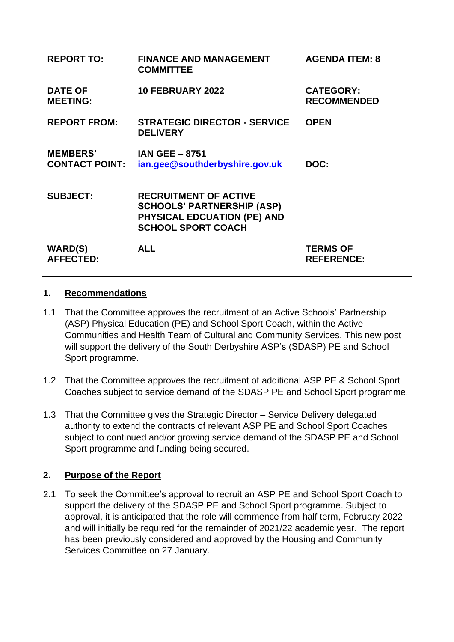| <b>REPORT TO:</b>                        | <b>FINANCE AND MANAGEMENT</b><br><b>COMMITTEE</b>                                                                             | <b>AGENDA ITEM: 8</b>                  |
|------------------------------------------|-------------------------------------------------------------------------------------------------------------------------------|----------------------------------------|
| <b>DATE OF</b><br><b>MEETING:</b>        | <b>10 FEBRUARY 2022</b>                                                                                                       | <b>CATEGORY:</b><br><b>RECOMMENDED</b> |
| <b>REPORT FROM:</b>                      | <b>STRATEGIC DIRECTOR - SERVICE</b><br><b>DELIVERY</b>                                                                        | <b>OPEN</b>                            |
| <b>MEMBERS'</b><br><b>CONTACT POINT:</b> | <b>IAN GEE - 8751</b><br>ian.gee@southderbyshire.gov.uk                                                                       | DOC:                                   |
| <b>SUBJECT:</b>                          | <b>RECRUITMENT OF ACTIVE</b><br><b>SCHOOLS' PARTNERSHIP (ASP)</b><br>PHYSICAL EDCUATION (PE) AND<br><b>SCHOOL SPORT COACH</b> |                                        |
| <b>WARD(S)</b><br><b>AFFECTED:</b>       | <b>ALL</b>                                                                                                                    | <b>TERMS OF</b><br><b>REFERENCE:</b>   |

#### **1. Recommendations**

- 1.1 That the Committee approves the recruitment of an Active Schools' Partnership (ASP) Physical Education (PE) and School Sport Coach, within the Active Communities and Health Team of Cultural and Community Services. This new post will support the delivery of the South Derbyshire ASP's (SDASP) PE and School Sport programme.
- 1.2 That the Committee approves the recruitment of additional ASP PE & School Sport Coaches subject to service demand of the SDASP PE and School Sport programme.
- 1.3 That the Committee gives the Strategic Director Service Delivery delegated authority to extend the contracts of relevant ASP PE and School Sport Coaches subject to continued and/or growing service demand of the SDASP PE and School Sport programme and funding being secured.

# **2. Purpose of the Report**

2.1 To seek the Committee's approval to recruit an ASP PE and School Sport Coach to support the delivery of the SDASP PE and School Sport programme. Subject to approval, it is anticipated that the role will commence from half term, February 2022 and will initially be required for the remainder of 2021/22 academic year. The report has been previously considered and approved by the Housing and Community Services Committee on 27 January.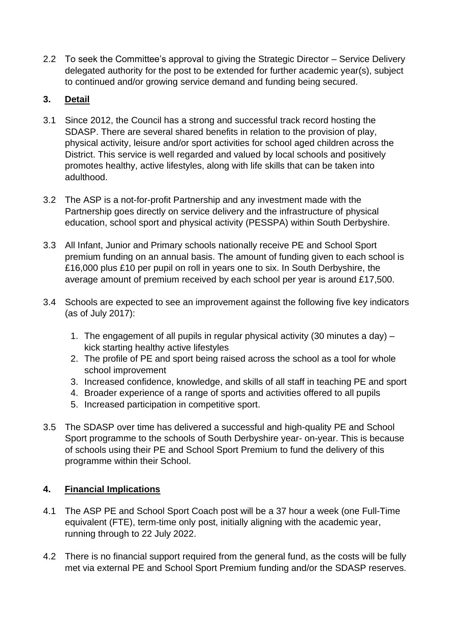2.2 To seek the Committee's approval to giving the Strategic Director – Service Delivery delegated authority for the post to be extended for further academic year(s), subject to continued and/or growing service demand and funding being secured.

## **3. Detail**

- 3.1 Since 2012, the Council has a strong and successful track record hosting the SDASP. There are several shared benefits in relation to the provision of play, physical activity, leisure and/or sport activities for school aged children across the District. This service is well regarded and valued by local schools and positively promotes healthy, active lifestyles, along with life skills that can be taken into adulthood.
- 3.2 The ASP is a not-for-profit Partnership and any investment made with the Partnership goes directly on service delivery and the infrastructure of physical education, school sport and physical activity (PESSPA) within South Derbyshire.
- 3.3 All Infant, Junior and Primary schools nationally receive PE and School Sport premium funding on an annual basis. The amount of funding given to each school is £16,000 plus £10 per pupil on roll in years one to six. In South Derbyshire, the average amount of premium received by each school per year is around £17,500.
- 3.4 Schools are expected to see an improvement against the following five key indicators (as of July 2017):
	- 1. The engagement of all pupils in regular physical activity (30 minutes a day) kick starting healthy active lifestyles
	- 2. The profile of PE and sport being raised across the school as a tool for whole school improvement
	- 3. Increased confidence, knowledge, and skills of all staff in teaching PE and sport
	- 4. Broader experience of a range of sports and activities offered to all pupils
	- 5. Increased participation in competitive sport.
- 3.5 The SDASP over time has delivered a successful and high-quality PE and School Sport programme to the schools of South Derbyshire year- on-year. This is because of schools using their PE and School Sport Premium to fund the delivery of this programme within their School.

# **4. Financial Implications**

- 4.1 The ASP PE and School Sport Coach post will be a 37 hour a week (one Full-Time equivalent (FTE), term-time only post, initially aligning with the academic year, running through to 22 July 2022.
- 4.2 There is no financial support required from the general fund, as the costs will be fully met via external PE and School Sport Premium funding and/or the SDASP reserves.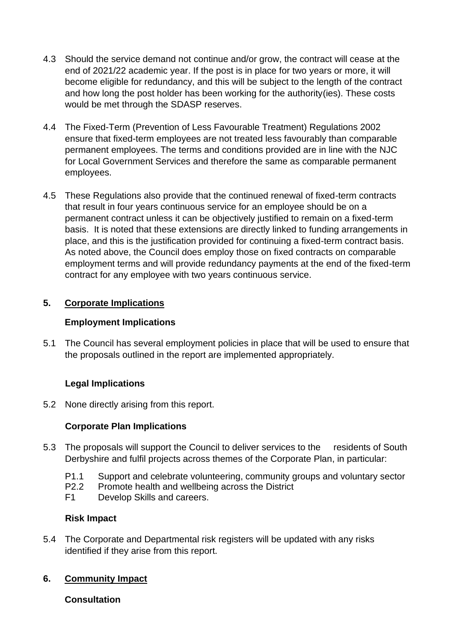- 4.3 Should the service demand not continue and/or grow, the contract will cease at the end of 2021/22 academic year. If the post is in place for two years or more, it will become eligible for redundancy, and this will be subject to the length of the contract and how long the post holder has been working for the authority(ies). These costs would be met through the SDASP reserves.
- 4.4 The Fixed-Term (Prevention of Less Favourable Treatment) Regulations 2002 ensure that fixed-term employees are not treated less favourably than comparable permanent employees. The terms and conditions provided are in line with the NJC for Local Government Services and therefore the same as comparable permanent employees.
- 4.5 These Regulations also provide that the continued renewal of fixed-term contracts that result in four years continuous service for an employee should be on a permanent contract unless it can be objectively justified to remain on a fixed-term basis. It is noted that these extensions are directly linked to funding arrangements in place, and this is the justification provided for continuing a fixed-term contract basis. As noted above, the Council does employ those on fixed contracts on comparable employment terms and will provide redundancy payments at the end of the fixed-term contract for any employee with two years continuous service.

## **5. Corporate Implications**

### **Employment Implications**

5.1 The Council has several employment policies in place that will be used to ensure that the proposals outlined in the report are implemented appropriately.

# **Legal Implications**

5.2 None directly arising from this report.

# **Corporate Plan Implications**

- 5.3 The proposals will support the Council to deliver services to the residents of South Derbyshire and fulfil projects across themes of the Corporate Plan, in particular:
	- P1.1 Support and celebrate volunteering, community groups and voluntary sector
	- P2.2 Promote health and wellbeing across the District
	- F1 Develop Skills and careers.

### **Risk Impact**

5.4 The Corporate and Departmental risk registers will be updated with any risks identified if they arise from this report.

### **6. Community Impact**

### **Consultation**